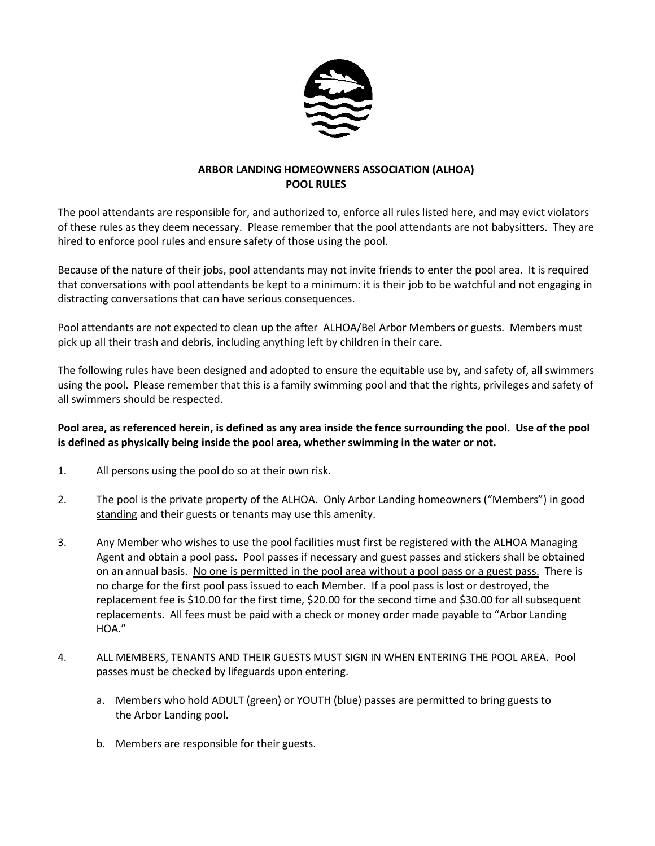

## **ARBOR LANDING HOMEOWNERS ASSOCIATION (ALHOA) POOL RULES**

The pool attendants are responsible for, and authorized to, enforce all rules listed here, and may evict violators of these rules as they deem necessary. Please remember that the pool attendants are not babysitters. They are hired to enforce pool rules and ensure safety of those using the pool.

Because of the nature of their jobs, pool attendants may not invite friends to enter the pool area. It is required that conversations with pool attendants be kept to a minimum: it is their job to be watchful and not engaging in distracting conversations that can have serious consequences.

Pool attendants are not expected to clean up the after ALHOA/Bel Arbor Members or guests. Members must pick up all their trash and debris, including anything left by children in their care.

The following rules have been designed and adopted to ensure the equitable use by, and safety of, all swimmers using the pool. Please remember that this is a family swimming pool and that the rights, privileges and safety of all swimmers should be respected.

## **Pool area, as referenced herein, is defined as any area inside the fence surrounding the pool. Use of the pool is defined as physically being inside the pool area, whether swimming in the water or not.**

- 1. All persons using the pool do so at their own risk.
- 2. The pool is the private property of the ALHOA. Only Arbor Landing homeowners ("Members") in good standing and their guests or tenants may use this amenity.
- 3. Any Member who wishes to use the pool facilities must first be registered with the ALHOA Managing Agent and obtain a pool pass. Pool passes if necessary and guest passes and stickers shall be obtained on an annual basis. No one is permitted in the pool area without a pool pass or a guest pass. There is no charge for the first pool pass issued to each Member. If a pool pass is lost or destroyed, the replacement fee is \$10.00 for the first time, \$20.00 for the second time and \$30.00 for all subsequent replacements. All fees must be paid with a check or money order made payable to "Arbor Landing HOA."
- 4. ALL MEMBERS, TENANTS AND THEIR GUESTS MUST SIGN IN WHEN ENTERING THE POOL AREA. Pool passes must be checked by lifeguards upon entering.
	- a. Members who hold ADULT (green) or YOUTH (blue) passes are permitted to bring guests to the Arbor Landing pool.
	- b. Members are responsible for their guests.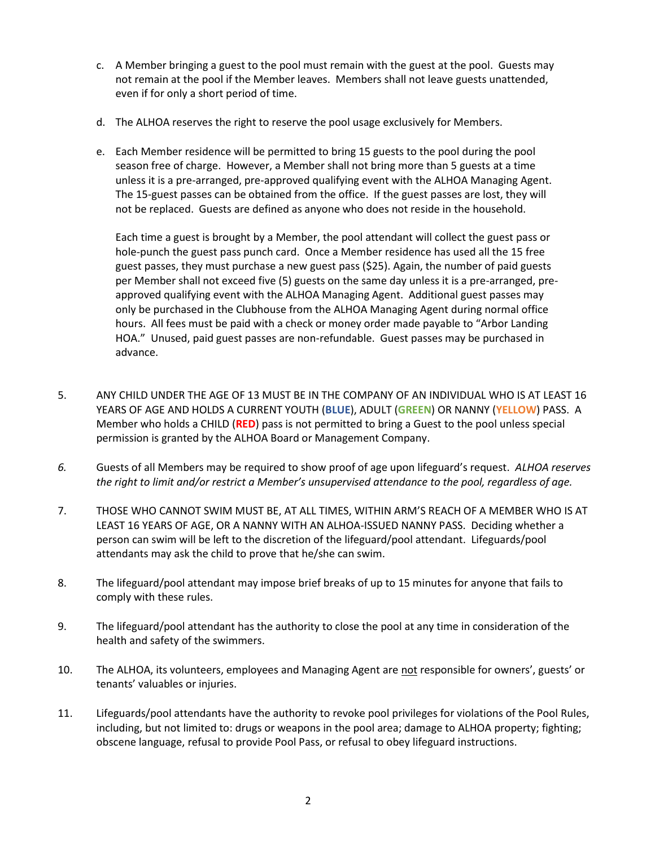- c. A Member bringing a guest to the pool must remain with the guest at the pool. Guests may not remain at the pool if the Member leaves. Members shall not leave guests unattended, even if for only a short period of time.
- d. The ALHOA reserves the right to reserve the pool usage exclusively for Members.
- e. Each Member residence will be permitted to bring 15 guests to the pool during the pool season free of charge. However, a Member shall not bring more than 5 guests at a time unless it is a pre-arranged, pre-approved qualifying event with the ALHOA Managing Agent. The 15-guest passes can be obtained from the office. If the guest passes are lost, they will not be replaced. Guests are defined as anyone who does not reside in the household.

Each time a guest is brought by a Member, the pool attendant will collect the guest pass or hole-punch the guest pass punch card. Once a Member residence has used all the 15 free guest passes, they must purchase a new guest pass (\$25). Again, the number of paid guests per Member shall not exceed five (5) guests on the same day unless it is a pre-arranged, preapproved qualifying event with the ALHOA Managing Agent. Additional guest passes may only be purchased in the Clubhouse from the ALHOA Managing Agent during normal office hours. All fees must be paid with a check or money order made payable to "Arbor Landing HOA."Unused, paid guest passes are non-refundable. Guest passes may be purchased in advance.

- 5. ANY CHILD UNDER THE AGE OF 13 MUST BE IN THE COMPANY OF AN INDIVIDUAL WHO IS AT LEAST 16 YEARS OF AGE AND HOLDS A CURRENT YOUTH (**BLUE**), ADULT (**GREEN**) OR NANNY (**YELLOW**) PASS. A Member who holds a CHILD (**RED**) pass is not permitted to bring a Guest to the pool unless special permission is granted by the ALHOA Board or Management Company.
- *6.* Guests of all Members may be required to show proof of age upon lifeguard's request. *ALHOA reserves the right to limit and/or restrict a Member's unsupervised attendance to the pool, regardless of age.*
- 7. THOSE WHO CANNOT SWIM MUST BE, AT ALL TIMES, WITHIN ARM'S REACH OF A MEMBER WHO IS AT LEAST 16 YEARS OF AGE, OR A NANNY WITH AN ALHOA-ISSUED NANNY PASS. Deciding whether a person can swim will be left to the discretion of the lifeguard/pool attendant. Lifeguards/pool attendants may ask the child to prove that he/she can swim.
- 8. The lifeguard/pool attendant may impose brief breaks of up to 15 minutes for anyone that fails to comply with these rules.
- 9. The lifeguard/pool attendant has the authority to close the pool at any time in consideration of the health and safety of the swimmers.
- 10. The ALHOA, its volunteers, employees and Managing Agent are not responsible for owners', guests' or tenants' valuables or injuries.
- 11. Lifeguards/pool attendants have the authority to revoke pool privileges for violations of the Pool Rules, including, but not limited to: drugs or weapons in the pool area; damage to ALHOA property; fighting; obscene language, refusal to provide Pool Pass, or refusal to obey lifeguard instructions.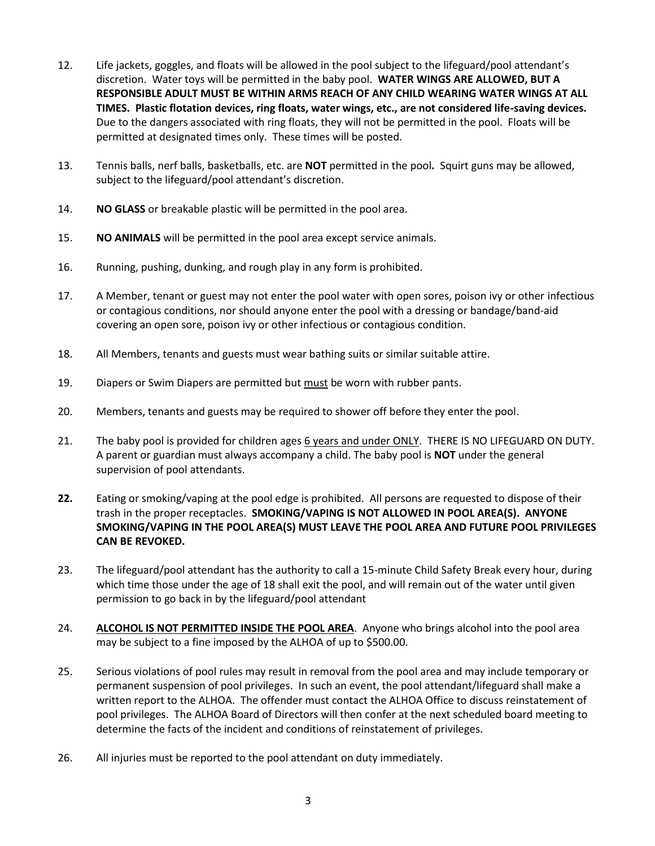- 12. Life jackets, goggles, and floats will be allowed in the pool subject to the lifeguard/pool attendant's discretion. Water toys will be permitted in the baby pool. **WATER WINGS ARE ALLOWED, BUT A RESPONSIBLE ADULT MUST BE WITHIN ARMS REACH OF ANY CHILD WEARING WATER WINGS AT ALL TIMES. Plastic flotation devices, ring floats, water wings, etc., are not considered life-saving devices.**  Due to the dangers associated with ring floats, they will not be permitted in the pool. Floats will be permitted at designated times only. These times will be posted.
- 13. Tennis balls, nerf balls, basketballs, etc. are **NOT** permitted in the pool**.** Squirt guns may be allowed, subject to the lifeguard/pool attendant's discretion.
- 14. **NO GLASS** or breakable plastic will be permitted in the pool area.
- 15. **NO ANIMALS** will be permitted in the pool area except service animals.
- 16. Running, pushing, dunking, and rough play in any form is prohibited.
- 17. A Member, tenant or guest may not enter the pool water with open sores, poison ivy or other infectious or contagious conditions, nor should anyone enter the pool with a dressing or bandage/band-aid covering an open sore, poison ivy or other infectious or contagious condition.
- 18. All Members, tenants and guests must wear bathing suits or similar suitable attire.
- 19. Diapers or Swim Diapers are permitted but must be worn with rubber pants.
- 20. Members, tenants and guests may be required to shower off before they enter the pool.
- 21. The baby pool is provided for children ages 6 years and under ONLY. THERE IS NO LIFEGUARD ON DUTY. A parent or guardian must always accompany a child. The baby pool is **NOT** under the general supervision of pool attendants.
- **22.** Eating or smoking/vaping at the pool edge is prohibited. All persons are requested to dispose of their trash in the proper receptacles. **SMOKING/VAPING IS NOT ALLOWED IN POOL AREA(S). ANYONE SMOKING/VAPING IN THE POOL AREA(S) MUST LEAVE THE POOL AREA AND FUTURE POOL PRIVILEGES CAN BE REVOKED.**
- 23. The lifeguard/pool attendant has the authority to call a 15-minute Child Safety Break every hour, during which time those under the age of 18 shall exit the pool, and will remain out of the water until given permission to go back in by the lifeguard/pool attendant
- 24. **ALCOHOL IS NOT PERMITTED INSIDE THE POOL AREA**. Anyone who brings alcohol into the pool area may be subject to a fine imposed by the ALHOA of up to \$500.00.
- 25. Serious violations of pool rules may result in removal from the pool area and may include temporary or permanent suspension of pool privileges. In such an event, the pool attendant/lifeguard shall make a written report to the ALHOA. The offender must contact the ALHOA Office to discuss reinstatement of pool privileges. The ALHOA Board of Directors will then confer at the next scheduled board meeting to determine the facts of the incident and conditions of reinstatement of privileges.
- 26. All injuries must be reported to the pool attendant on duty immediately.